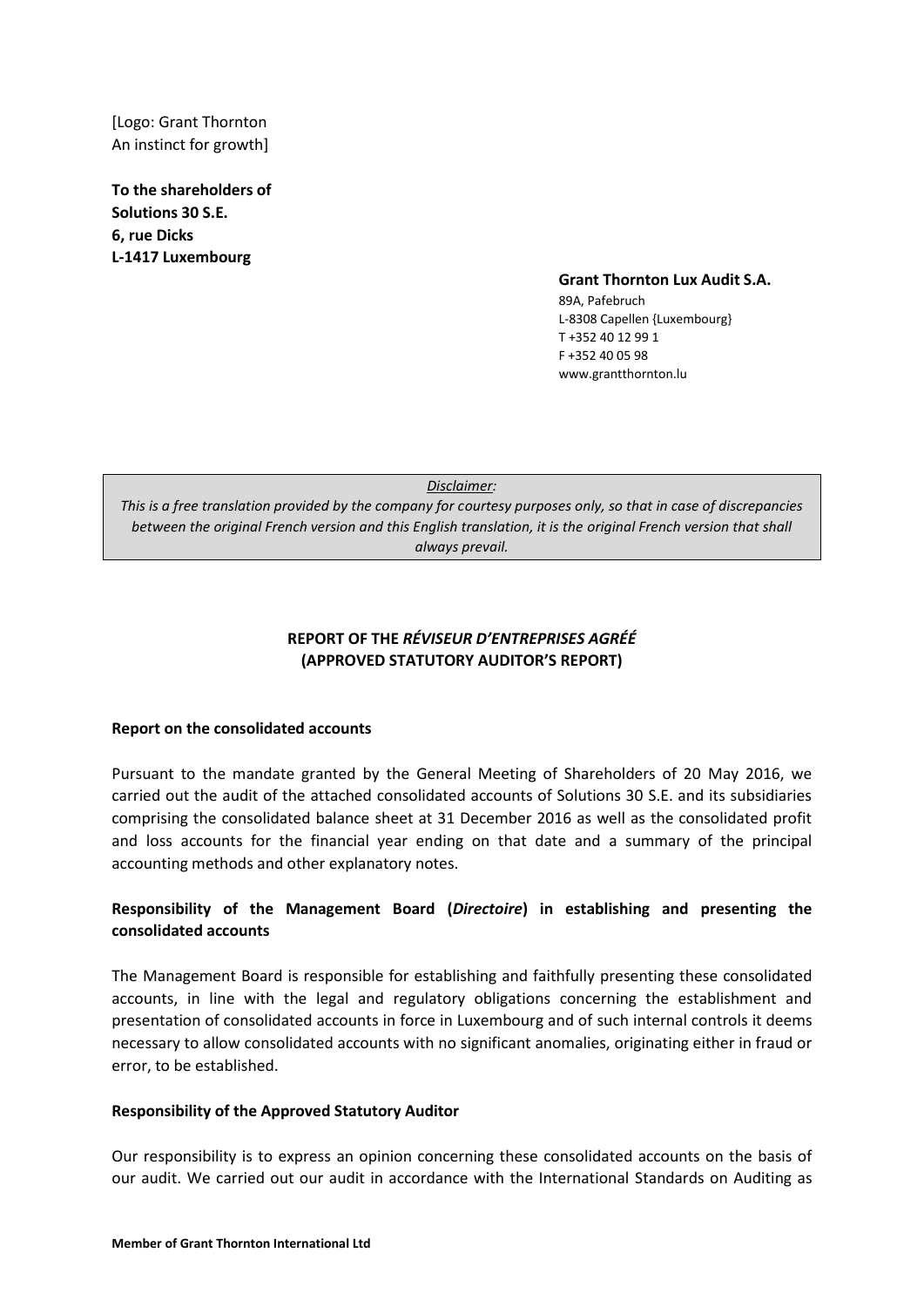[Logo: Grant Thornton An instinct for growth]

**To the shareholders of Solutions 30 S.E. 6, rue Dicks L-1417 Luxembourg**

#### **Grant Thornton Lux Audit S.A.**

89A, Pafebruch L-8308 Capellen {Luxembourg} T +352 40 12 99 1 F +352 40 05 98 www.grantthornton.lu

# **REPORT OF THE** *RÉVISEUR D'ENTREPRISES AGRÉÉ* **(APPROVED STATUTORY AUDITOR'S REPORT)**

### **Report on the consolidated accounts**

Pursuant to the mandate granted by the General Meeting of Shareholders of 20 May 2016, we carried out the audit of the attached consolidated accounts of Solutions 30 S.E. and its subsidiaries comprising the consolidated balance sheet at 31 December 2016 as well as the consolidated profit and loss accounts for the financial year ending on that date and a summary of the principal accounting methods and other explanatory notes.

## **Responsibility of the Management Board (***Directoire***) in establishing and presenting the consolidated accounts**

The Management Board is responsible for establishing and faithfully presenting these consolidated accounts, in line with the legal and regulatory obligations concerning the establishment and presentation of consolidated accounts in force in Luxembourg and of such internal controls it deems necessary to allow consolidated accounts with no significant anomalies, originating either in fraud or error, to be established.

### **Responsibility of the Approved Statutory Auditor**

Our responsibility is to express an opinion concerning these consolidated accounts on the basis of our audit. We carried out our audit in accordance with the International Standards on Auditing as